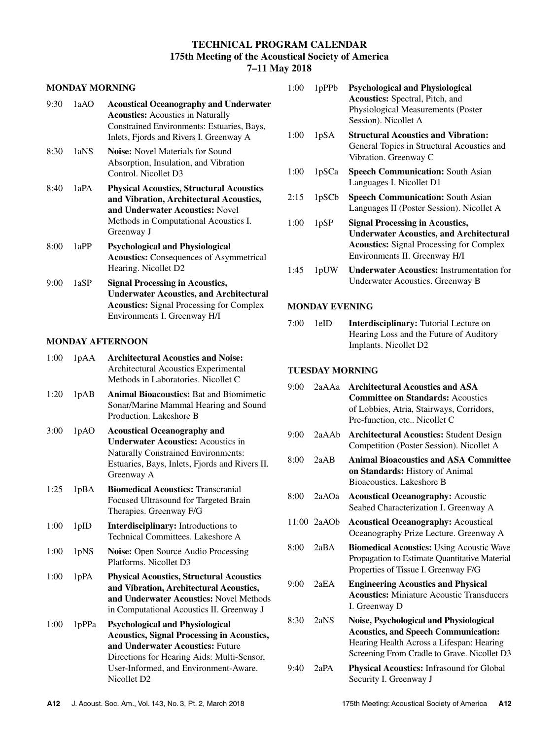# **TECHNICAL PROGRAM CALENDAR 175th Meeting of the Acoustical Society of America 7–11 May 2018**

## **MONDAY MORNING**

| 9:30 | 1aAO | <b>Acoustical Oceanography and Underwater</b><br><b>Acoustics:</b> Acoustics in Naturally<br>Constrained Environments: Estuaries, Bays,<br>Inlets, Fjords and Rivers I. Greenway A   |
|------|------|--------------------------------------------------------------------------------------------------------------------------------------------------------------------------------------|
| 8:30 | 1aNS | <b>Noise:</b> Novel Materials for Sound<br>Absorption, Insulation, and Vibration<br>Control. Nicollet D3                                                                             |
| 8:40 | 1aPA | <b>Physical Acoustics, Structural Acoustics</b><br>and Vibration, Architectural Acoustics,<br>and Underwater Acoustics: Novel<br>Methods in Computational Acoustics I.<br>Greenway J |
| 8:00 | 1aPP | <b>Psychological and Physiological</b><br><b>Acoustics:</b> Consequences of Asymmetrical<br>Hearing. Nicollet D2                                                                     |
| 9:00 | 1aSP | <b>Signal Processing in Acoustics,</b><br><b>Underwater Acoustics, and Architectural</b><br><b>Acoustics:</b> Signal Processing for Complex<br>Environments I. Greenway H/I          |

## **MONDAY AFTERNOON**

| 1:00 | 1pAA  | <b>Architectural Acoustics and Noise:</b><br>Architectural Acoustics Experimental<br>Methods in Laboratories. Nicollet C                                                                                                                          |
|------|-------|---------------------------------------------------------------------------------------------------------------------------------------------------------------------------------------------------------------------------------------------------|
| 1:20 | 1pAB  | <b>Animal Bioacoustics: Bat and Biomimetic</b><br>Sonar/Marine Mammal Hearing and Sound<br>Production. Lakeshore B                                                                                                                                |
| 3:00 | 1pAO  | <b>Acoustical Oceanography and</b><br><b>Underwater Acoustics: Acoustics in</b><br><b>Naturally Constrained Environments:</b><br>Estuaries, Bays, Inlets, Fjords and Rivers II.<br>Greenway A                                                     |
| 1:25 | 1pBA  | <b>Biomedical Acoustics: Transcranial</b><br>Focused Ultrasound for Targeted Brain<br>Therapies. Greenway F/G                                                                                                                                     |
| 1:00 | 1pID  | <b>Interdisciplinary:</b> Introductions to<br>Technical Committees, Lakeshore A                                                                                                                                                                   |
| 1:00 | 1pNS  | <b>Noise:</b> Open Source Audio Processing<br>Platforms. Nicollet D3                                                                                                                                                                              |
| 1:00 | 1pPA  | <b>Physical Acoustics, Structural Acoustics</b><br>and Vibration, Architectural Acoustics,<br>and Underwater Acoustics: Novel Methods<br>in Computational Acoustics II. Greenway J                                                                |
| 1:00 | 1pPPa | <b>Psychological and Physiological</b><br><b>Acoustics, Signal Processing in Acoustics,</b><br>and Underwater Acoustics: Future<br>Directions for Hearing Aids: Multi-Sensor,<br>User-Informed, and Environment-Aware.<br>Nicollet D <sub>2</sub> |

| 1:00 | 1pPPb | <b>Psychological and Physiological</b><br><b>Acoustics:</b> Spectral, Pitch, and<br>Physiological Measurements (Poster<br>Session). Nicollet A                               |
|------|-------|------------------------------------------------------------------------------------------------------------------------------------------------------------------------------|
| 1:00 | 1pSA  | <b>Structural Acoustics and Vibration:</b><br>General Topics in Structural Acoustics and<br>Vibration. Greenway C                                                            |
| 1:00 | 1pSCa | <b>Speech Communication: South Asian</b><br>Languages I. Nicollet D1                                                                                                         |
| 2:15 | 1pSCb | <b>Speech Communication: South Asian</b><br>Languages II (Poster Session). Nicollet A                                                                                        |
| 1:00 | 1pSP  | <b>Signal Processing in Acoustics,</b><br><b>Underwater Acoustics, and Architectural</b><br><b>Acoustics:</b> Signal Processing for Complex<br>Environments II. Greenway H/I |
| 1:45 | 1pUW  | <b>Underwater Acoustics: Instrumentation for</b><br>Underwater Acoustics. Greenway B                                                                                         |

## **MONDAY EVENING**

| 7:00 | 1eID | <b>Interdisciplinary:</b> Tutorial Lecture on |
|------|------|-----------------------------------------------|
|      |      | Hearing Loss and the Future of Auditory       |
|      |      | Implants. Nicollet D2                         |

## **TUESDAY MORNING**

| 9:00 | 2aAAa         | <b>Architectural Acoustics and ASA</b><br><b>Committee on Standards: Acoustics</b><br>of Lobbies, Atria, Stairways, Corridors,<br>Pre-function, etc Nicollet C                    |
|------|---------------|-----------------------------------------------------------------------------------------------------------------------------------------------------------------------------------|
| 9:00 | 2aAAb         | <b>Architectural Acoustics: Student Design</b><br>Competition (Poster Session). Nicollet A                                                                                        |
| 8:00 | 2aAB          | <b>Animal Bioacoustics and ASA Committee</b><br><b>on Standards:</b> History of Animal<br>Bioacoustics. Lakeshore B                                                               |
| 8:00 | 2aAOa         | <b>Acoustical Oceanography: Acoustic</b><br>Seabed Characterization I. Greenway A                                                                                                 |
|      | $11:00$ 2aAOb | <b>Acoustical Oceanography: Acoustical</b><br>Oceanography Prize Lecture. Greenway A                                                                                              |
| 8:00 | 2aBA          | <b>Biomedical Acoustics: Using Acoustic Wave</b><br>Propagation to Estimate Quantitative Material<br>Properties of Tissue I. Greenway F/G                                         |
| 9:00 | 2aEA          | <b>Engineering Acoustics and Physical</b><br><b>Acoustics:</b> Miniature Acoustic Transducers<br>I. Greenway D                                                                    |
| 8:30 | 2aNS          | Noise, Psychological and Physiological<br><b>Acoustics, and Speech Communication:</b><br>Hearing Health Across a Lifespan: Hearing<br>Screening From Cradle to Grave. Nicollet D3 |
| 9:40 | 2aPA          | Physical Acoustics: Infrasound for Global<br>Security I. Greenway J                                                                                                               |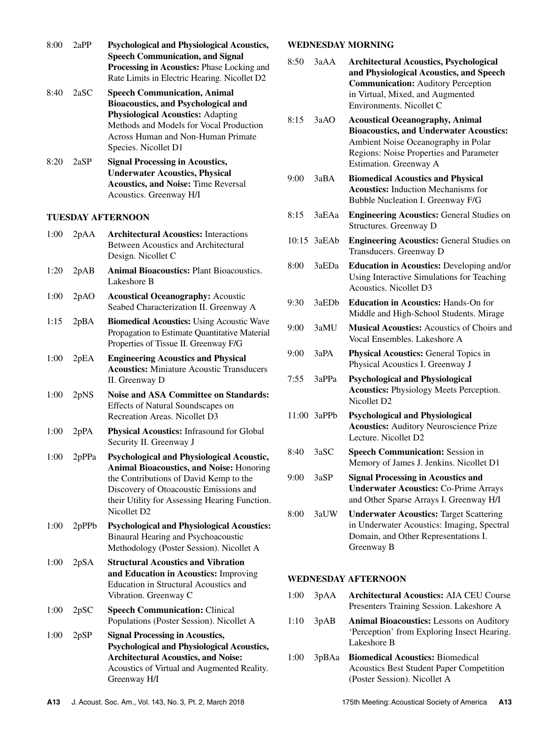| 8:00 | 2aPP  | <b>Psychological and Physiological Acoustics,</b><br><b>Speech Communication, and Signal</b><br>Processing in Acoustics: Phase Locking and<br>Rate Limits in Electric Hearing. Nicollet D2                                                                   |
|------|-------|--------------------------------------------------------------------------------------------------------------------------------------------------------------------------------------------------------------------------------------------------------------|
| 8:40 | 2aSC  | <b>Speech Communication, Animal</b><br><b>Bioacoustics, and Psychological and</b><br><b>Physiological Acoustics: Adapting</b><br>Methods and Models for Vocal Production<br><b>Across Human and Non-Human Primate</b><br>Species. Nicollet D1                |
| 8:20 | 2aSP  | <b>Signal Processing in Acoustics,</b><br><b>Underwater Acoustics, Physical</b><br><b>Acoustics, and Noise: Time Reversal</b><br>Acoustics. Greenway H/I                                                                                                     |
|      |       | <b>TUESDAY AFTERNOON</b>                                                                                                                                                                                                                                     |
| 1:00 | 2pAA  | <b>Architectural Acoustics: Interactions</b><br><b>Between Acoustics and Architectural</b><br>Design. Nicollet C                                                                                                                                             |
| 1:20 | 2pAB  | <b>Animal Bioacoustics: Plant Bioacoustics.</b><br>Lakeshore B                                                                                                                                                                                               |
| 1:00 | 2pAO  | <b>Acoustical Oceanography: Acoustic</b><br>Seabed Characterization II. Greenway A                                                                                                                                                                           |
| 1:15 | 2pBA  | <b>Biomedical Acoustics: Using Acoustic Wave</b><br>Propagation to Estimate Quantitative Material<br>Properties of Tissue II. Greenway F/G                                                                                                                   |
| 1:00 | 2pEA  | <b>Engineering Acoustics and Physical</b><br><b>Acoustics:</b> Miniature Acoustic Transducers<br>II. Greenway D                                                                                                                                              |
| 1:00 | 2pNS  | <b>Noise and ASA Committee on Standards:</b><br><b>Effects of Natural Soundscapes on</b><br>Recreation Areas. Nicollet D3                                                                                                                                    |
| 1:00 | 2pPA  | Physical Acoustics: Infrasound for Global<br>Security II. Greenway J                                                                                                                                                                                         |
| 1:00 | 2pPPa | Psychological and Physiological Acoustic,<br><b>Animal Bioacoustics, and Noise: Honoring</b><br>the Contributions of David Kemp to the<br>Discovery of Otoacoustic Emissions and<br>their Utility for Assessing Hearing Function.<br>Nicollet D <sub>2</sub> |
| 1:00 | 2pPPb | <b>Psychological and Physiological Acoustics:</b><br>Binaural Hearing and Psychoacoustic<br>Methodology (Poster Session). Nicollet A                                                                                                                         |
| 1:00 | 2pSA  | <b>Structural Acoustics and Vibration</b><br>and Education in Acoustics: Improving<br>Education in Structural Acoustics and<br>Vibration. Greenway C                                                                                                         |
| 1:00 | 2pSC  | <b>Speech Communication: Clinical</b><br>Populations (Poster Session). Nicollet A                                                                                                                                                                            |
| 1:00 | 2pSP  | <b>Signal Processing in Acoustics,</b><br><b>Psychological and Physiological Acoustics,</b><br><b>Architectural Acoustics, and Noise:</b><br>Acoustics of Virtual and Augmented Reality.                                                                     |
|      |       | Greenway H/I                                                                                                                                                                                                                                                 |

### **WEDNESDAY MORNING**

| 8:50 | 3aAA              | <b>Architectural Acoustics, Psychological</b><br>and Physiological Acoustics, and Speech<br><b>Communication:</b> Auditory Perception<br>in Virtual, Mixed, and Augmented<br>Environments. Nicollet C |
|------|-------------------|-------------------------------------------------------------------------------------------------------------------------------------------------------------------------------------------------------|
| 8:15 | 3aAO              | <b>Acoustical Oceanography, Animal</b><br><b>Bioacoustics, and Underwater Acoustics:</b><br>Ambient Noise Oceanography in Polar<br>Regions: Noise Properties and Parameter<br>Estimation. Greenway A  |
| 9:00 | 3aBA              | <b>Biomedical Acoustics and Physical</b><br><b>Acoustics:</b> Induction Mechanisms for<br>Bubble Nucleation I. Greenway F/G                                                                           |
| 8:15 | 3aEAa             | <b>Engineering Acoustics: General Studies on</b><br>Structures. Greenway D                                                                                                                            |
|      | 10:15 3aEAb       | <b>Engineering Acoustics: General Studies on</b><br>Transducers. Greenway D                                                                                                                           |
| 8:00 | 3aEDa             | <b>Education in Acoustics: Developing and/or</b><br>Using Interactive Simulations for Teaching<br>Acoustics. Nicollet D3                                                                              |
| 9:30 | 3aED <sub>b</sub> | <b>Education in Acoustics: Hands-On for</b><br>Middle and High-School Students. Mirage                                                                                                                |
| 9:00 | 3aMU              | <b>Musical Acoustics:</b> Acoustics of Choirs and<br>Vocal Ensembles. Lakeshore A                                                                                                                     |
| 9:00 | 3aPA              | <b>Physical Acoustics: General Topics in</b><br>Physical Acoustics I. Greenway J                                                                                                                      |
| 7:55 | 3aPPa             | <b>Psychological and Physiological</b><br><b>Acoustics:</b> Physiology Meets Perception.<br>Nicollet D2                                                                                               |
|      | 11:00 3aPPb       | <b>Psychological and Physiological</b><br><b>Acoustics:</b> Auditory Neuroscience Prize<br>Lecture. Nicollet D2                                                                                       |
| 8:40 | 3aSC              | <b>Speech Communication: Session in</b><br>Memory of James J. Jenkins. Nicollet D1                                                                                                                    |
| 9:00 | 3aSP              | <b>Signal Processing in Acoustics and</b><br><b>Underwater Acoustics: Co-Prime Arrays</b><br>and Other Sparse Arrays I. Greenway H/I                                                                  |
| 8:00 | 3aUW              | <b>Underwater Acoustics: Target Scattering</b><br>in Underwater Acoustics: Imaging, Spectral<br>Domain, and Other Representations I.<br>Greenway B                                                    |

#### **WEDNESDAY AFTERNOON**

- 1:00 3pAA **Architectural Acoustics:** AIA CEU Course Presenters Training Session. Lakeshore A
- 1:10 3pAB **Animal Bioacoustics:** Lessons on Auditory 'Perception' from Exploring Insect Hearing. Lakeshore B
- 1:00 3pBAa **Biomedical Acoustics:** Biomedical Acoustics Best Student Paper Competition (Poster Session). Nicollet A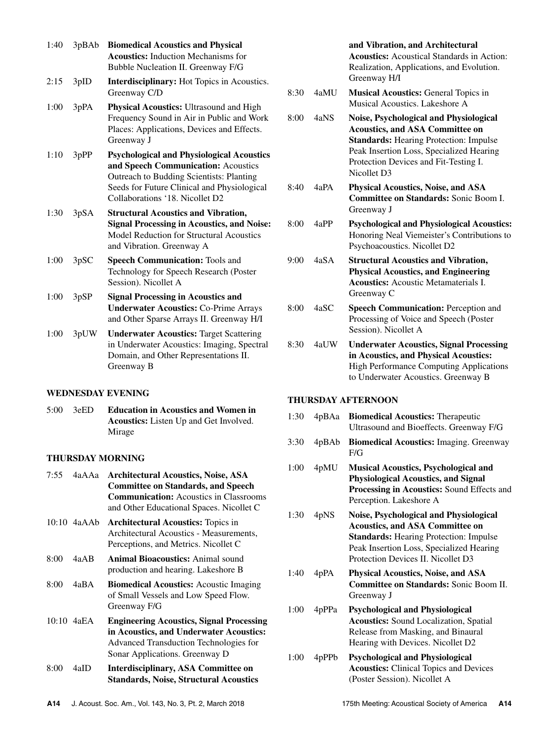| 1:40 | 3pBAb | <b>Biomedical Acoustics and Physical</b><br><b>Acoustics:</b> Induction Mechanisms for<br>Bubble Nucleation II. Greenway F/G                                                                                          |
|------|-------|-----------------------------------------------------------------------------------------------------------------------------------------------------------------------------------------------------------------------|
| 2:15 | 3pID  | <b>Interdisciplinary:</b> Hot Topics in Acoustics.<br>Greenway C/D                                                                                                                                                    |
| 1:00 | 3pPA  | <b>Physical Acoustics:</b> Ultrasound and High<br>Frequency Sound in Air in Public and Work<br>Places: Applications, Devices and Effects.<br>Greenway J                                                               |
| 1:10 | 3pPP  | <b>Psychological and Physiological Acoustics</b><br>and Speech Communication: Acoustics<br>Outreach to Budding Scientists: Planting<br>Seeds for Future Clinical and Physiological<br>Collaborations '18. Nicollet D2 |
| 1:30 | 3pSA  | <b>Structural Acoustics and Vibration,</b><br><b>Signal Processing in Acoustics, and Noise:</b><br>Model Reduction for Structural Acoustics<br>and Vibration. Greenway A                                              |
| 1:00 | 3pSC  | <b>Speech Communication: Tools and</b><br>Technology for Speech Research (Poster<br>Session). Nicollet A                                                                                                              |
| 1:00 | 3pSP  | <b>Signal Processing in Acoustics and</b><br><b>Underwater Acoustics: Co-Prime Arrays</b><br>and Other Sparse Arrays II. Greenway H/I                                                                                 |

1:00 3pUW **Underwater Acoustics:** Target Scattering in Underwater Acoustics: Imaging, Spectral Domain, and Other Representations II. Greenway B

### **WEDNESDAY EVENING**

5:00 3eED **Education in Acoustics and Women in Acoustics:** Listen Up and Get Involved. Mirage

### **THURSDAY MORNING**

| 7:55 | 4aAAa        | <b>Architectural Acoustics, Noise, ASA</b><br><b>Committee on Standards, and Speech</b><br><b>Communication:</b> Acoustics in Classrooms<br>and Other Educational Spaces. Nicollet C |
|------|--------------|--------------------------------------------------------------------------------------------------------------------------------------------------------------------------------------|
|      | 10:10 4aAAb  | <b>Architectural Acoustics:</b> Topics in<br>Architectural Acoustics - Measurements,<br>Perceptions, and Metrics. Nicollet C                                                         |
| 8:00 | 4a A B       | <b>Animal Bioacoustics:</b> Animal sound<br>production and hearing. Lakeshore B                                                                                                      |
| 8:00 | 4aBA         | <b>Biomedical Acoustics:</b> Acoustic Imaging<br>of Small Vessels and Low Speed Flow.<br>Greenway F/G                                                                                |
|      | $10:10$ 4aEA | <b>Engineering Acoustics, Signal Processing</b><br>in Acoustics, and Underwater Acoustics:<br>Advanced Transduction Technologies for<br>Sonar Applications. Greenway D               |
| 8:00 | 4aID         | Interdisciplinary, ASA Committee on                                                                                                                                                  |

## **and Vibration, and Architectural**

**Acoustics:** Acoustical Standards in Action: Realization, Applications, and Evolution. Greenway H/I

- 8:30 4aMU **Musical Acoustics:** General Topics in Musical Acoustics. Lakeshore A
- 8:00 4aNS **Noise, Psychological and Physiological Acoustics, and ASA Committee on Standards:** Hearing Protection: Impulse Peak Insertion Loss, Specialized Hearing Protection Devices and Fit-Testing I. Nicollet D3
- 8:40 4aPA **Physical Acoustics, Noise, and ASA Committee on Standards:** Sonic Boom I. Greenway J
- 8:00 4aPP **Psychological and Physiological Acoustics:** Honoring Neal Viemeister's Contributions to Psychoacoustics. Nicollet D2
- 9:00 4aSA **Structural Acoustics and Vibration, Physical Acoustics, and Engineering Acoustics:** Acoustic Metamaterials I. Greenway C
- 8:00 4aSC **Speech Communication:** Perception and Processing of Voice and Speech (Poster Session). Nicollet A
- 8:30 4aUW **Underwater Acoustics, Signal Processing in Acoustics, and Physical Acoustics:** High Performance Computing Applications to Underwater Acoustics. Greenway B

## **THURSDAY AFTERNOON**

- 1:30 4pBAa **Biomedical Acoustics:** Therapeutic Ultrasound and Bioeffects. Greenway F/G 3:30 4pBAb **Biomedical Acoustics:** Imaging. Greenway F/G
- 1:00 4pMU **Musical Acoustics, Psychological and Physiological Acoustics, and Signal Processing in Acoustics:** Sound Effects and Perception. Lakeshore A
- 1:30 4pNS **Noise, Psychological and Physiological Acoustics, and ASA Committee on Standards:** Hearing Protection: Impulse Peak Insertion Loss, Specialized Hearing Protection Devices II. Nicollet D3
- 1:40 4pPA **Physical Acoustics, Noise, and ASA Committee on Standards:** Sonic Boom II. Greenway J
- 1:00 4pPPa **Psychological and Physiological Acoustics:** Sound Localization, Spatial Release from Masking, and Binaural Hearing with Devices. Nicollet D2
- 1:00 4pPPb **Psychological and Physiological Acoustics:** Clinical Topics and Devices (Poster Session). Nicollet A

**Standards, Noise, Structural Acoustics**